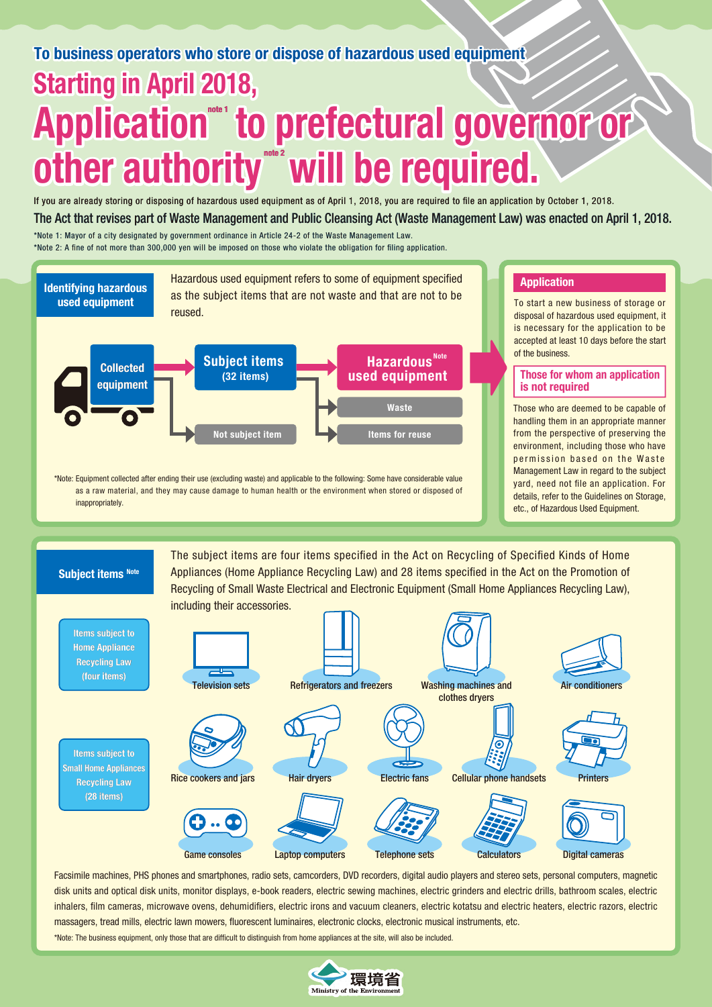# To business operators who store or dispose of hazardous used equipment Starting in April 2018, Application<sup>®</sup> to prefectural governor or other authority will be required.

The Act that revises part of Waste Management and Public Cleansing Act (Waste Management Law) was enacted on April 1, 2018. If you are already storing or disposing of hazardous used equipment as of April 1, 2018, you are required to file an application by October 1, 2018.

\*Note 1: Mayor of a city designated by government ordinance in Article 24-2 of the Waste Management Law. \*Note 2: A fine of not more than 300,000 yen will be imposed on those who violate the obligation for filing application.





Facsimile machines, PHS phones and smartphones, radio sets, camcorders, DVD recorders, digital audio players and stereo sets, personal computers, magnetic disk units and optical disk units, monitor displays, e-book readers, electric sewing machines, electric grinders and electric drills, bathroom scales, electric inhalers, film cameras, microwave ovens, dehumidifiers, electric irons and vacuum cleaners, electric kotatsu and electric heaters, electric razors, electric massagers, tread mills, electric lawn mowers, fluorescent luminaires, electronic clocks, electronic musical instruments, etc. \*Note: The business equipment, only those that are difficult to distinguish from home appliances at the site, will also be included.